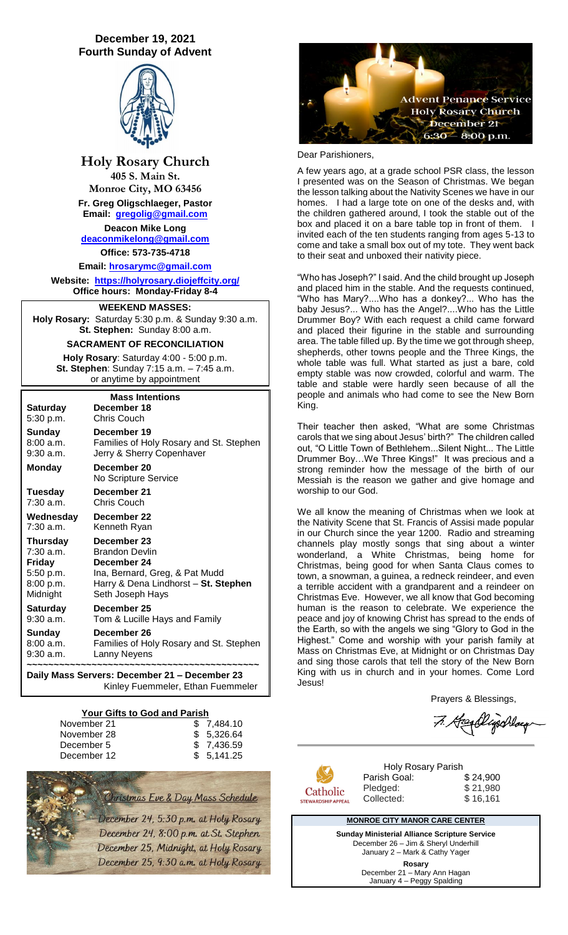# **December 19, 2021 Fourth Sunday of Advent**



**Holy Rosary Church 405 S. Main St. Monroe City, MO 63456 Fr. Greg Oligschlaeger, Pastor Email: [gregolig@gmail.com](mailto:gregolig@gmail.com) Deacon Mike Long [deaconmikelong@gmail.com](mailto:deaconmikelong@gmail.com) Office: 573-735-4718** 

**Email: [hrosarymc@gmail.com](mailto:hrosarymc@gmail.com) Website: <https://holyrosary.diojeffcity.org/> Office hours: Monday-Friday 8-4**

# **WEEKEND MASSES:**

**Holy Rosary:** Saturday 5:30 p.m. & Sunday 9:30 a.m. **St. Stephen:** Sunday 8:00 a.m.

### **SACRAMENT OF RECONCILIATION**

**Holy Rosary**: Saturday 4:00 - 5:00 p.m. **St. Stephen**: Sunday 7:15 a.m. – 7:45 a.m. or anytime by appointment

| <b>Mass Intentions</b> |                                                          |  |  |  |
|------------------------|----------------------------------------------------------|--|--|--|
| <b>Saturday</b>        | December 18                                              |  |  |  |
| 5:30 p.m.              | <b>Chris Couch</b>                                       |  |  |  |
| Sunday                 | December 19                                              |  |  |  |
| 8:00 a.m.              | Families of Holy Rosary and St. Stephen                  |  |  |  |
| $9:30$ a.m.            | Jerry & Sherry Copenhaver                                |  |  |  |
| <b>Monday</b>          | December 20<br>No Scripture Service                      |  |  |  |
| Tuesday                | December 21                                              |  |  |  |
| 7:30 a.m.              | <b>Chris Couch</b>                                       |  |  |  |
| Wednesday              | December 22                                              |  |  |  |
| 7:30 a.m.              | Kenneth Ryan                                             |  |  |  |
| <b>Thursday</b>        | December 23                                              |  |  |  |
| 7:30 a.m.              | <b>Brandon Devlin</b>                                    |  |  |  |
| Friday                 | December 24                                              |  |  |  |
| 5:50 p.m.              | Ina, Bernard, Greg, & Pat Mudd                           |  |  |  |
| 8:00 p.m.<br>Midnight  | Harry & Dena Lindhorst - St. Stephen<br>Seth Joseph Hays |  |  |  |
| <b>Saturday</b>        | December 25                                              |  |  |  |
| $9:30$ a.m.            | Tom & Lucille Hays and Family                            |  |  |  |
| <b>Sunday</b>          | December 26                                              |  |  |  |
| 8:00 a.m.              | Families of Holy Rosary and St. Stephen                  |  |  |  |
| $9:30$ a.m.            | Lanny Neyens                                             |  |  |  |
|                        |                                                          |  |  |  |

**Daily Mass Servers: December 21 – December 23** Kinley Fuemmeler, Ethan Fuemmeler

#### **Your Gifts to God and Parish**

| November 21 | \$ 7.484.10 |
|-------------|-------------|
| November 28 | \$5.326.64  |
| December 5  | \$7,436.59  |
| December 12 | \$5,141.25  |





#### Dear Parishioners,

A few years ago, at a grade school PSR class, the lesson I presented was on the Season of Christmas. We began the lesson talking about the Nativity Scenes we have in our homes. I had a large tote on one of the desks and, with the children gathered around, I took the stable out of the box and placed it on a bare table top in front of them. I invited each of the ten students ranging from ages 5-13 to come and take a small box out of my tote. They went back to their seat and unboxed their nativity piece.

"Who has Joseph?" I said. And the child brought up Joseph and placed him in the stable. And the requests continued, "Who has Mary?....Who has a donkey?... Who has the baby Jesus?... Who has the Angel?....Who has the Little Drummer Boy? With each request a child came forward and placed their figurine in the stable and surrounding area. The table filled up. By the time we got through sheep, shepherds, other towns people and the Three Kings, the whole table was full. What started as just a bare, cold empty stable was now crowded, colorful and warm. The table and stable were hardly seen because of all the people and animals who had come to see the New Born King.

Their teacher then asked, "What are some Christmas carols that we sing about Jesus' birth?" The children called out, "O Little Town of Bethlehem...Silent Night... The Little Drummer Boy…We Three Kings!" It was precious and a strong reminder how the message of the birth of our Messiah is the reason we gather and give homage and worship to our God.

We all know the meaning of Christmas when we look at the Nativity Scene that St. Francis of Assisi made popular in our Church since the year 1200. Radio and streaming channels play mostly songs that sing about a winter wonderland, a White Christmas, being home for Christmas, being good for when Santa Claus comes to town, a snowman, a guinea, a redneck reindeer, and even a terrible accident with a grandparent and a reindeer on Christmas Eve. However, we all know that God becoming human is the reason to celebrate. We experience the peace and joy of knowing Christ has spread to the ends of the Earth, so with the angels we sing "Glory to God in the Highest." Come and worship with your parish family at Mass on Christmas Eve, at Midnight or on Christmas Day and sing those carols that tell the story of the New Born King with us in church and in your homes. Come Lord Jesus!

Prayers & Blessings,

7. Hosellyschlag



Parish Goal:

Holy Rosary Parish<br>h Goal: \$24,900 Pledged: \$21,980 Collected: \$ 16,161

#### **MONROE CITY MANOR CARE CENTER**

**Sunday Ministerial Alliance Scripture Service** December 26 – Jim & Sheryl Underhill January 2 – Mark & Cathy Yager **Rosary** December 21 – Mary Ann Hagan January 4 - Peggy Spalding